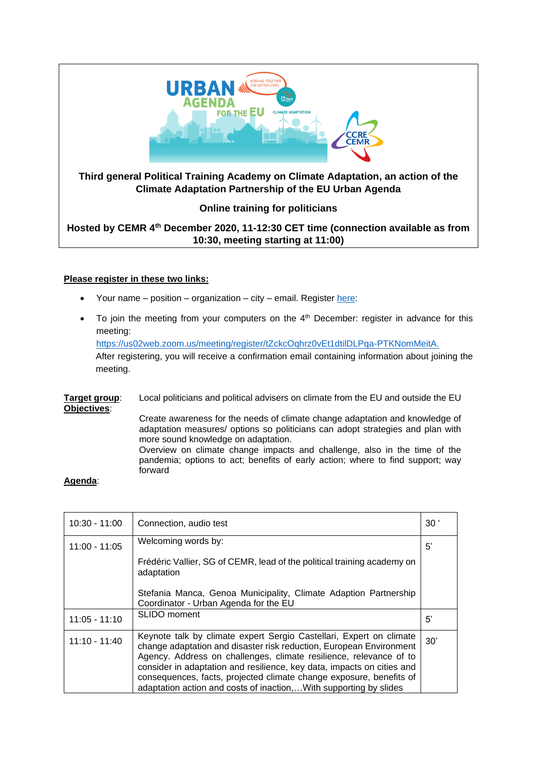

# **Please register in these two links:**

- Your name position organization city email. Registe[r here:](https://docs.google.com/forms/d/e/1FAIpQLSfmSbwq1QYzUByU8KeXC88JfG1Cf0lJuFx_egqjbm_elndLug/viewform)
- To join the meeting from your computers on the  $4<sup>th</sup>$  December: register in advance for this meeting: [https://us02web.zoom.us/meeting/register/tZckcOqhrz0vEt1dtilDLPqa-PTKNomMeitA.](https://us02web.zoom.us/meeting/register/tZckcOqhrz0vEt1dtilDLPqa-PTKNomMeitA)

After registering, you will receive a confirmation email containing information about joining the meeting.

**Target group:** Local politicians and political advisers on climate from the EU and outside the EU **Objectives**:

Create awareness for the needs of climate change adaptation and knowledge of adaptation measures/ options so politicians can adopt strategies and plan with more sound knowledge on adaptation. Overview on climate change impacts and challenge, also in the time of the

pandemia; options to act; benefits of early action; where to find support; way forward

# **Agenda**:

| $10:30 - 11:00$ | Connection, audio test                                                                                                                                                                                                                                                                                                                                                                                                                  | 30 <sup>°</sup> |
|-----------------|-----------------------------------------------------------------------------------------------------------------------------------------------------------------------------------------------------------------------------------------------------------------------------------------------------------------------------------------------------------------------------------------------------------------------------------------|-----------------|
| $11:00 - 11:05$ | Welcoming words by:                                                                                                                                                                                                                                                                                                                                                                                                                     | 5'              |
|                 | Frédéric Vallier, SG of CEMR, lead of the political training academy on<br>adaptation                                                                                                                                                                                                                                                                                                                                                   |                 |
|                 | Stefania Manca, Genoa Municipality, Climate Adaption Partnership<br>Coordinator - Urban Agenda for the EU                                                                                                                                                                                                                                                                                                                               |                 |
| $11:05 - 11:10$ | SLIDO moment                                                                                                                                                                                                                                                                                                                                                                                                                            | 5'              |
| $11:10 - 11:40$ | Keynote talk by climate expert Sergio Castellari, Expert on climate<br>change adaptation and disaster risk reduction, European Environment<br>Agency. Address on challenges, climate resilience, relevance of to<br>consider in adaptation and resilience, key data, impacts on cities and<br>consequences, facts, projected climate change exposure, benefits of<br>adaptation action and costs of inaction, With supporting by slides | 30'             |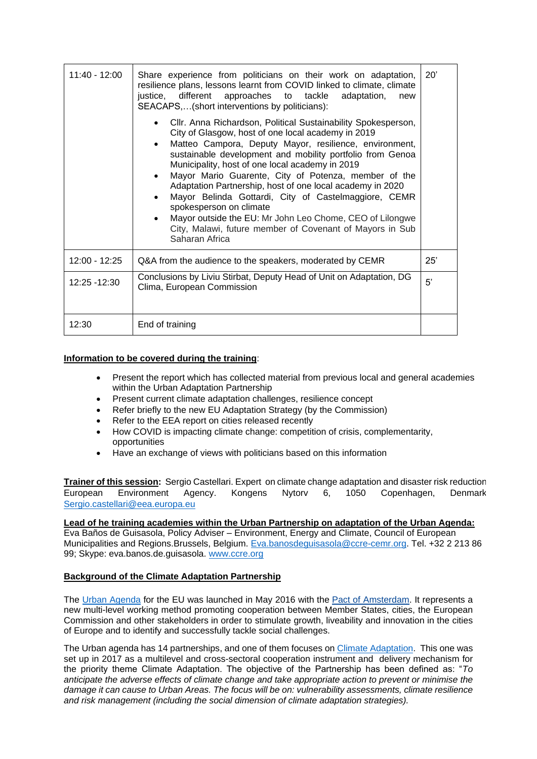| 11:40 - 12:00   | Share experience from politicians on their work on adaptation,<br>resilience plans, lessons learnt from COVID linked to climate, climate<br>justice, different approaches to tackle adaptation,<br>new<br>SEACAPS,(short interventions by politicians):                                                                                                                                                                                                                                                                                                                                                                                                                                             | 20' |
|-----------------|-----------------------------------------------------------------------------------------------------------------------------------------------------------------------------------------------------------------------------------------------------------------------------------------------------------------------------------------------------------------------------------------------------------------------------------------------------------------------------------------------------------------------------------------------------------------------------------------------------------------------------------------------------------------------------------------------------|-----|
|                 | Cllr. Anna Richardson, Political Sustainability Spokesperson,<br>$\bullet$<br>City of Glasgow, host of one local academy in 2019<br>Matteo Campora, Deputy Mayor, resilience, environment,<br>$\bullet$<br>sustainable development and mobility portfolio from Genoa<br>Municipality, host of one local academy in 2019<br>Mayor Mario Guarente, City of Potenza, member of the<br>$\bullet$<br>Adaptation Partnership, host of one local academy in 2020<br>Mayor Belinda Gottardi, City of Castelmaggiore, CEMR<br>$\bullet$<br>spokesperson on climate<br>Mayor outside the EU: Mr John Leo Chome, CEO of Lilongwe<br>City, Malawi, future member of Covenant of Mayors in Sub<br>Saharan Africa |     |
| $12:00 - 12:25$ | Q&A from the audience to the speakers, moderated by CEMR                                                                                                                                                                                                                                                                                                                                                                                                                                                                                                                                                                                                                                            | 25' |
| 12:25 - 12:30   | Conclusions by Liviu Stirbat, Deputy Head of Unit on Adaptation, DG<br>Clima, European Commission                                                                                                                                                                                                                                                                                                                                                                                                                                                                                                                                                                                                   | 5'  |
| 12:30           | End of training                                                                                                                                                                                                                                                                                                                                                                                                                                                                                                                                                                                                                                                                                     |     |

### **Information to be covered during the training**:

- Present the report which has collected material from previous local and general academies within the Urban Adaptation Partnership
- Present current climate adaptation challenges, resilience concept
- Refer briefly to the new EU Adaptation Strategy (by the Commission)
- Refer to the EEA report on cities released recently
- How COVID is impacting climate change: competition of crisis, complementarity, opportunities
- Have an exchange of views with politicians based on this information

**Trainer of this session:** Sergio Castellari. Expert on climate change adaptation and disaster risk reduction. European Environment Agency. Kongens Nytorv 6, 1050 Copenhagen, Denmark, [Sergio.castellari@eea.europa.eu](mailto:Sergio.castellari@eea.europa.eu)

**Lead of he training academies within the Urban Partnership on adaptation of the Urban Agenda:**  Eva Baños de Guisasola, Policy Adviser – Environment, Energy and Climate, Council of European Municipalities and Regions.Brussels, Belgium. [Eva.banosdeguisasola@ccre-cemr.org.](mailto:Eva.banosdeguisasola@ccre-cemr.org) Tel. +32 2 213 86 99; Skype: eva.banos.de.guisasola. [www.ccre.org](http://www.ccre.org/)

### **Background of the Climate Adaptation Partnership**

The [Urban Agenda](https://ec.europa.eu/futurium/en/urban-agenda) for the EU was launched in May 2016 with the [Pact of Amsterdam.](https://ec.europa.eu/futurium/en/content/pact-amsterdam) It represents a new multi-level working method promoting cooperation between Member States, cities, the European Commission and other stakeholders in order to stimulate growth, liveability and innovation in the cities of Europe and to identify and successfully tackle social challenges.

The Urban agenda has 14 partnerships, and one of them focuses on [Climate Adaptation.](https://ec.europa.eu/futurium/en/node/2223) This one was set up in 2017 as a multilevel and cross-sectoral cooperation instrument and delivery mechanism for the priority theme Climate Adaptation. The objective of the Partnership has been defined as: "*To anticipate the adverse effects of climate change and take appropriate action to prevent or minimise the damage it can cause to Urban Areas. The focus will be on: vulnerability assessments, climate resilience and risk management (including the social dimension of climate adaptation strategies).*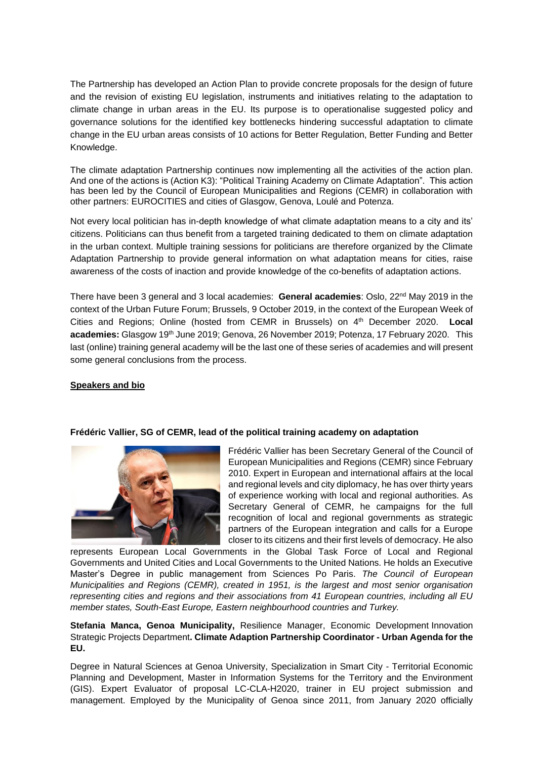The Partnership has developed an Action Plan to provide concrete proposals for the design of future and the revision of existing EU legislation, instruments and initiatives relating to the adaptation to climate change in urban areas in the EU. Its purpose is to operationalise suggested policy and governance solutions for the identified key bottlenecks hindering successful adaptation to climate change in the EU urban areas consists of 10 actions for Better Regulation, Better Funding and Better Knowledge.

The climate adaptation Partnership continues now implementing all the activities of the action plan. And one of the actions is (Action K3): "Political Training Academy on Climate Adaptation". This action has been led by the Council of European Municipalities and Regions (CEMR) in collaboration with other partners: EUROCITIES and cities of Glasgow, Genova, Loulé and Potenza.

Not every local politician has in-depth knowledge of what climate adaptation means to a city and its' citizens. Politicians can thus benefit from a targeted training dedicated to them on climate adaptation in the urban context. Multiple training sessions for politicians are therefore organized by the Climate Adaptation Partnership to provide general information on what adaptation means for cities, raise awareness of the costs of inaction and provide knowledge of the co-benefits of adaptation actions.

There have been 3 general and 3 local academies: **General academies**: Oslo, 22nd May 2019 in the context of the Urban Future Forum; Brussels, 9 October 2019, in the context of the European Week of Cities and Regions; Online (hosted from CEMR in Brussels) on 4th December 2020. **Local academies:** Glasgow 19th June 2019; Genova, 26 November 2019; Potenza, 17 February 2020. This last (online) training general academy will be the last one of these series of academies and will present some general conclusions from the process.

### **Speakers and bio**



### **Frédéric Vallier, SG of CEMR, lead of the political training academy on adaptation**

Frédéric Vallier has been Secretary General of the Council of European Municipalities and Regions (CEMR) since February 2010. Expert in European and international affairs at the local and regional levels and city diplomacy, he has over thirty years of experience working with local and regional authorities. As Secretary General of CEMR, he campaigns for the full recognition of local and regional governments as strategic partners of the European integration and calls for a Europe closer to its citizens and their first levels of democracy. He also

represents European Local Governments in the Global Task Force of Local and Regional Governments and United Cities and Local Governments to the United Nations. He holds an Executive Master's Degree in public management from Sciences Po Paris. *The Council of European Municipalities and Regions (CEMR), created in 1951, is the largest and most senior organisation representing cities and regions and their associations from 41 European countries, including all EU member states, South-East Europe, Eastern neighbourhood countries and Turkey.*

**Stefania Manca, Genoa Municipality,** Resilience Manager, Economic Development Innovation Strategic Projects Department**. Climate Adaption Partnership Coordinator - Urban Agenda for the EU.** 

Degree in Natural Sciences at Genoa University, Specialization in Smart City - Territorial Economic Planning and Development, Master in Information Systems for the Territory and the Environment (GIS). Expert Evaluator of proposal LC-CLA-H2020, trainer in EU project submission and management. Employed by the Municipality of Genoa since 2011, from January 2020 officially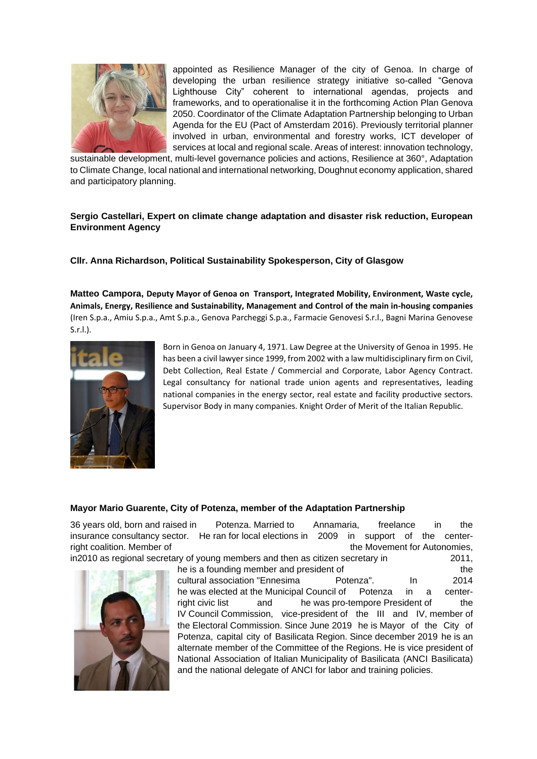

appointed as Resilience Manager of the city of Genoa. In charge of developing the urban resilience strategy initiative so-called "Genova Lighthouse City" coherent to international agendas, projects and frameworks, and to operationalise it in the forthcoming Action Plan Genova 2050. Coordinator of the Climate Adaptation Partnership belonging to Urban Agenda for the EU (Pact of Amsterdam 2016). Previously territorial planner involved in urban, environmental and forestry works, ICT developer of services at local and regional scale. Areas of interest: innovation technology,

sustainable development, multi-level governance policies and actions, Resilience at 360°, Adaptation to Climate Change, local national and international networking, Doughnut economy application, shared and participatory planning.

# **Sergio Castellari, Expert on climate change adaptation and disaster risk reduction, European Environment Agency**

**Cllr. Anna Richardson, Political Sustainability Spokesperson, City of Glasgow**

**Matteo Campora, Deputy Mayor of Genoa on Transport, Integrated Mobility, Environment, Waste cycle, Animals, Energy, Resilience and Sustainability, Management and Control of the main in-housing companies** (Iren S.p.a., Amiu S.p.a., Amt S.p.a., Genova Parcheggi S.p.a., Farmacie Genovesi S.r.l., Bagni Marina Genovese S.r.l.).



Born in Genoa on January 4, 1971. Law Degree at the University of Genoa in 1995. He has been a civil lawyer since 1999, from 2002 with a law multidisciplinary firm on Civil, Debt Collection, Real Estate / Commercial and Corporate, Labor Agency Contract. Legal consultancy for national trade union agents and representatives, leading national companies in the energy sector, real estate and facility productive sectors. Supervisor Body in many companies. Knight Order of Merit of the Italian Republic.

### **Mayor Mario Guarente, City of Potenza, member of the Adaptation Partnership**

36 years old, born and raised in Potenza. Married to Annamaria, freelance in the insurance consultancy sector. He ran for local elections in 2009 in support of the centerright coalition. Member of the Movement for Autonomies, in2010 as regional secretary of young members and then as citizen secretary in 2011, he is a founding member and president of the the the cultural association "Ennesima Potenza". In 2014 he was elected at the Municipal Council of Potenza in a centerright civic list and he was pro-tempore President of the IV Council Commission, vice-president of the III and IV, member of the Electoral Commission. Since June 2019 he is Mayor of the City of

Potenza, capital city of Basilicata Region. Since december 2019 he is an alternate member of the Committee of the Regions. He is vice president of National Association of Italian Municipality of Basilicata (ANCI Basilicata) and the national delegate of ANCI for labor and training policies.